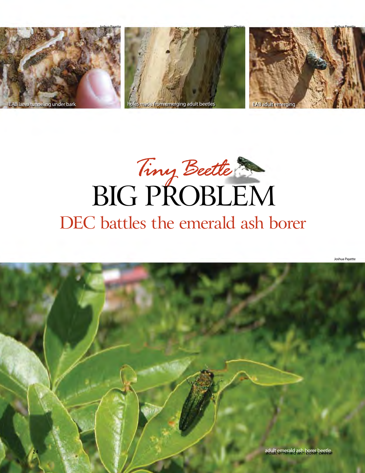

# *Tiny Beetle* BIG PROBLEM DEC battles the emerald ash borer

Joshua Payette

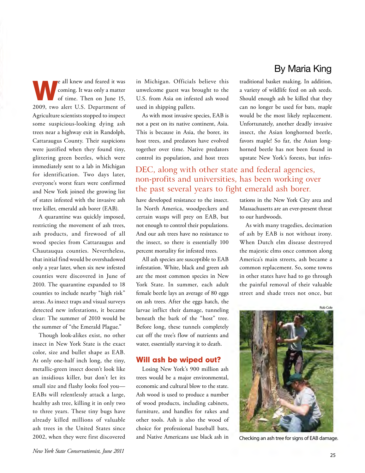By Maria King

We all knew and feared it was<br>coming. It was only a matter<br>of time. Then on June 15, coming. It was only a matter of time. Then on June 15, 2009, two alert U.S. Department of Agriculture scientists stopped to inspect some suspicious-looking dying ash trees near a highway exit in Randolph, Cattaraugus County. Their suspicions were justified when they found tiny, glittering green beetles, which were immediately sent to a lab in Michigan for identification. Two days later, everyone's worst fears were confirmed and New York joined the growing list of states infested with the invasive ash tree killer, emerald ash borer (EAB).

 detected new infestations, it became A quarantine was quickly imposed, restricting the movement of ash trees, ash products, and firewood of all wood species from Cattaraugus and Chautauqua counties. Nevertheless, that initial find would be overshadowed only a year later, when six new infested counties were discovered in June of 2010. The quarantine expanded to 18 counties to include nearby "high risk" areas. As insect traps and visual surveys clear: The summer of 2010 would be the summer of "the Emerald Plague."

Though look-alikes exist, no other insect in New York State is the exact color, size and bullet shape as EAB. At only one-half inch long, the tiny, metallic-green insect doesn't look like an insidious killer, but don't let its small size and flashy looks fool you— EABs will relentlessly attack a large, healthy ash tree, killing it in only two to three years. These tiny bugs have already killed millions of valuable ash trees in the United States since 2002, when they were first discovered

in Michigan. Officials believe this unwelcome guest was brought to the U.S. from Asia on infested ash wood used in shipping pallets.

As with most invasive species, EAB is not a pest on its native continent, Asia. This is because in Asia, the borer, its host trees, and predators have evolved together over time. Native predators control its population, and host trees

traditional basket making. In addition, a variety of wildlife feed on ash seeds. Should enough ash be killed that they can no longer be used for bats, maple would be the most likely replacement. Unfortunately, another deadly invasive insect, the Asian longhorned beetle, favors maple! So far, the Asian longhorned beetle has not been found in upstate New York's forests, but infes-

## DEC, along with other state and federal agencies, non-profits and universities, has been working over the past several years to fight emerald ash borer.

have developed resistance to the insect. In North America, woodpeckers and certain wasps will prey on EAB, but not enough to control their populations. And our ash trees have no resistance to the insect, so there is essentially 100 percent mortality for infested trees.

All ash species are susceptible to EAB infestation. White, black and green ash are the most common species in New York State. In summer, each adult female beetle lays an average of 80 eggs on ash trees. After the eggs hatch, the larvae inflict their damage, tunneling beneath the bark of the "host" tree. Before long, these tunnels completely cut off the tree's flow of nutrients and water, essentially starving it to death.

#### Will ash be wiped out?

 Losing New York's 900 million ash trees would be a major environmental, economic and cultural blow to the state. Ash wood is used to produce a number of wood products, including cabinets, furniture, and handles for rakes and other tools. Ash is also the wood of choice for professional baseball bats, and Native Americans use black ash in

tations in the New York City area and Massachusetts are an ever-present threat to our hardwoods.

As with many tragedies, decimation of ash by EAB is not without irony. When Dutch elm disease destroyed the majestic elms once common along America's main streets, ash became a common replacement. So, some towns in other states have had to go through the painful removal of their valuable street and shade trees not once, but

Rob Cole



Checking an ash tree for signs of EAB damage.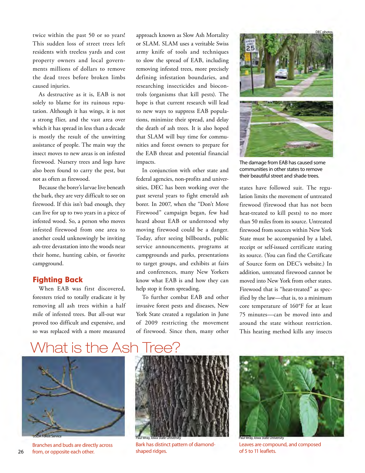twice within the past 50 or so years! This sudden loss of street trees left residents with treeless yards and cost property owners and local governments millions of dollars to remove the dead trees before broken limbs caused injuries.

 also been found to carry the pest, but As destructive as it is, EAB is not solely to blame for its ruinous reputation. Although it has wings, it is not a strong flier, and the vast area over which it has spread in less than a decade is mostly the result of the unwitting assistance of people. The main way the insect moves to new areas is on infested firewood. Nursery trees and logs have not as often as firewood.

Because the borer's larvae live beneath the bark, they are very difficult to see on firewood. If this isn't bad enough, they can live for up to two years in a piece of infested wood. So, a person who moves infested firewood from one area to another could unknowingly be inviting ash-tree devastation into the woods near their home, hunting cabin, or favorite campground.

#### Fighting Back

When EAB was first discovered, foresters tried to totally eradicate it by removing all ash trees within a half mile of infested trees. But all-out war proved too difficult and expensive, and so was replaced with a more measured

approach known as Slow Ash Mortality or SLAM. SLAM uses a veritable Swiss army knife of tools and techniques to slow the spread of EAB, including removing infested trees, more precisely defining infestation boundaries, and researching insecticides and biocontrols (organisms that kill pests). The hope is that current research will lead to new ways to suppress EAB populations, minimize their spread, and delay the death of ash trees. It is also hoped that SLAM will buy time for communities and forest owners to prepare for the EAB threat and potential financial impacts.

In conjunction with other state and federal agencies, non-profits and universities, DEC has been working over the past several years to fight emerald ash borer. In 2007, when the "Don't Move Firewood" campaign began, few had heard about EAB or understood why moving firewood could be a danger. Today, after seeing billboards, public service announcements, programs at campgrounds and parks, presentations to target groups, and exhibits at fairs and conferences, many New Yorkers know what EAB is and how they can help stop it from spreading.

To further combat EAB and other invasive forest pests and diseases, New York State created a regulation in June of 2009 restricting the movement of firewood. Since then, many other



The damage from EAB has caused some communities in other states to remove their beautiful street and shade trees.

 State must be accompanied by a label, of Source form on DEC's website.) In states have followed suit. The regulation limits the movement of untreated firewood (firewood that has not been heat-treated to kill pests) to no more than 50 miles from its source. Untreated firewood from sources within New York receipt or self-issued certificate stating its source. (You can find the Certificate addition, untreated firewood cannot be moved into New York from other states. Firewood that is "heat-treated" as specified by the law—that is, to a minimum core temperature of 160°F for at least 75 minutes—can be moved into and around the state without restriction. This heating method kills any insects

# What is the Ash Tree?



26 from, or opposite each other.





Branches and buds are directly across Bark has distinct pattern of diamond-<br>
Shaped ridges.<br>
Shaped ridges.<br>
Shaped ridges.<br>
Shaped ridges.<br>
Shaped ridges.<br>
Shaped ridges.